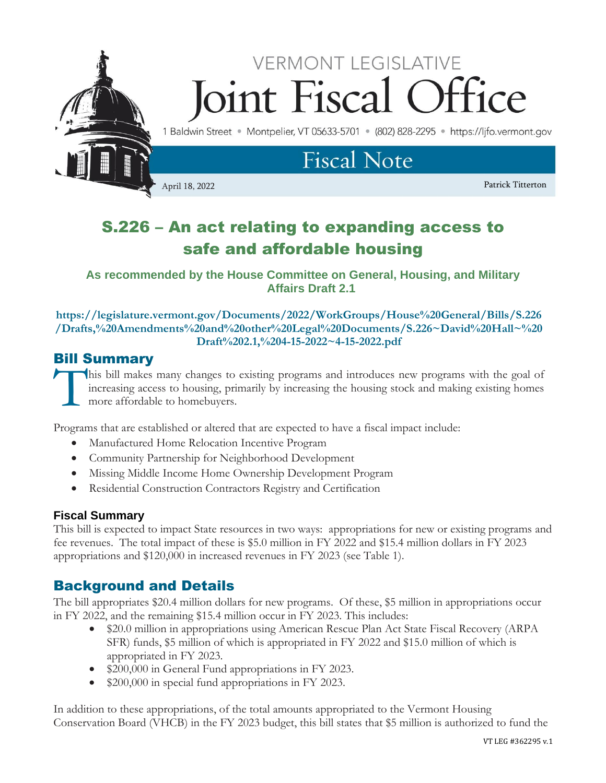

# S.226 – An act relating to expanding access to safe and affordable housing

**As recommended by the House Committee on General, Housing, and Military Affairs Draft 2.1**

**https://legislature.vermont.gov/Documents/2022/WorkGroups/House%20General/Bills/S.226 /Drafts,%20Amendments%20and%20other%20Legal%20Documents/S.226~David%20Hall~%20 Draft%202.1,%204-15-2022~4-15-2022.pdf**

# Bill Summary

his bill makes many changes to existing programs and introduces new programs with the goal of increasing access to housing, primarily by increasing the housing stock and making existing homes more affordable to homebuyers. T<br>T

Programs that are established or altered that are expected to have a fiscal impact include:

- Manufactured Home Relocation Incentive Program
- Community Partnership for Neighborhood Development
- Missing Middle Income Home Ownership Development Program
- Residential Construction Contractors Registry and Certification

# **Fiscal Summary**

This bill is expected to impact State resources in two ways: appropriations for new or existing programs and fee revenues. The total impact of these is \$5.0 million in FY 2022 and \$15.4 million dollars in FY 2023 appropriations and \$120,000 in increased revenues in FY 2023 (see Table 1).

# Background and Details

The bill appropriates \$20.4 million dollars for new programs. Of these, \$5 million in appropriations occur in FY 2022, and the remaining \$15.4 million occur in FY 2023. This includes:

- \$20.0 million in appropriations using American Rescue Plan Act State Fiscal Recovery (ARPA) SFR) funds, \$5 million of which is appropriated in FY 2022 and \$15.0 million of which is appropriated in FY 2023.
- \$200,000 in General Fund appropriations in FY 2023.
- \$200,000 in special fund appropriations in FY 2023.

In addition to these appropriations, of the total amounts appropriated to the Vermont Housing Conservation Board (VHCB) in the FY 2023 budget, this bill states that \$5 million is authorized to fund the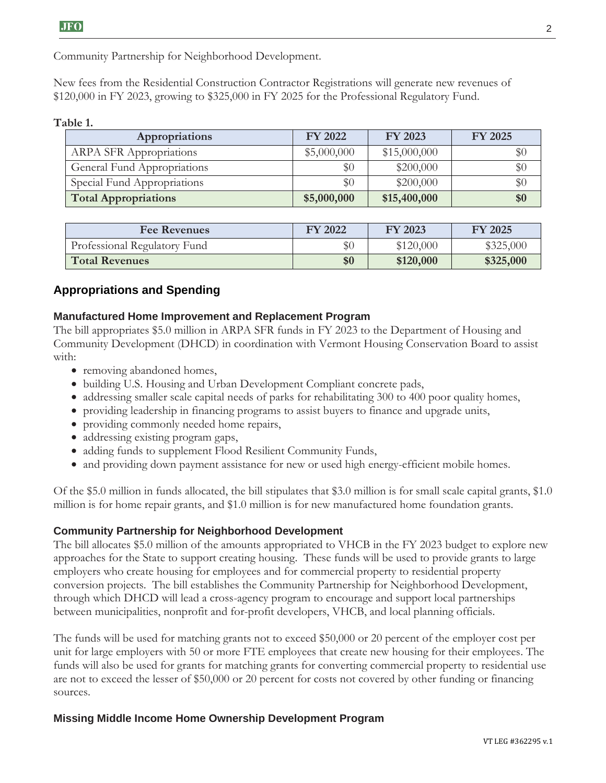Community Partnership for Neighborhood Development.

New fees from the Residential Construction Contractor Registrations will generate new revenues of \$120,000 in FY 2023, growing to \$325,000 in FY 2025 for the Professional Regulatory Fund.

#### **Table 1.**

| Appropriations                 | <b>FY 2022</b> | FY 2023      | <b>FY 2025</b> |
|--------------------------------|----------------|--------------|----------------|
| <b>ARPA SFR Appropriations</b> | \$5,000,000    | \$15,000,000 | $\$0$          |
| General Fund Appropriations    | \$0            | \$200,000    | \$0            |
| Special Fund Appropriations    | \$0            | \$200,000    | \$0            |
| <b>Total Appropriations</b>    | \$5,000,000    | \$15,400,000 | \$0            |

| <b>Fee Revenues</b>          | FY 2022 | FY 2023   | <b>FY 2025</b> |
|------------------------------|---------|-----------|----------------|
| Professional Regulatory Fund | $\$0$   | \$120,000 | \$325,000      |
| <b>Total Revenues</b>        | \$0     | \$120,000 | \$325,000      |

## **Appropriations and Spending**

#### **Manufactured Home Improvement and Replacement Program**

The bill appropriates \$5.0 million in ARPA SFR funds in FY 2023 to the Department of Housing and Community Development (DHCD) in coordination with Vermont Housing Conservation Board to assist with:

- removing abandoned homes,
- building U.S. Housing and Urban Development Compliant concrete pads,
- addressing smaller scale capital needs of parks for rehabilitating 300 to 400 poor quality homes,
- providing leadership in financing programs to assist buyers to finance and upgrade units,
- providing commonly needed home repairs,
- addressing existing program gaps,
- adding funds to supplement Flood Resilient Community Funds,
- and providing down payment assistance for new or used high energy-efficient mobile homes.

Of the \$5.0 million in funds allocated, the bill stipulates that \$3.0 million is for small scale capital grants, \$1.0 million is for home repair grants, and \$1.0 million is for new manufactured home foundation grants.

#### **Community Partnership for Neighborhood Development**

The bill allocates \$5.0 million of the amounts appropriated to VHCB in the FY 2023 budget to explore new approaches for the State to support creating housing. These funds will be used to provide grants to large employers who create housing for employees and for commercial property to residential property conversion projects. The bill establishes the Community Partnership for Neighborhood Development, through which DHCD will lead a cross-agency program to encourage and support local partnerships between municipalities, nonprofit and for-profit developers, VHCB, and local planning officials.

The funds will be used for matching grants not to exceed \$50,000 or 20 percent of the employer cost per unit for large employers with 50 or more FTE employees that create new housing for their employees. The funds will also be used for grants for matching grants for converting commercial property to residential use are not to exceed the lesser of \$50,000 or 20 percent for costs not covered by other funding or financing sources.

#### **Missing Middle Income Home Ownership Development Program**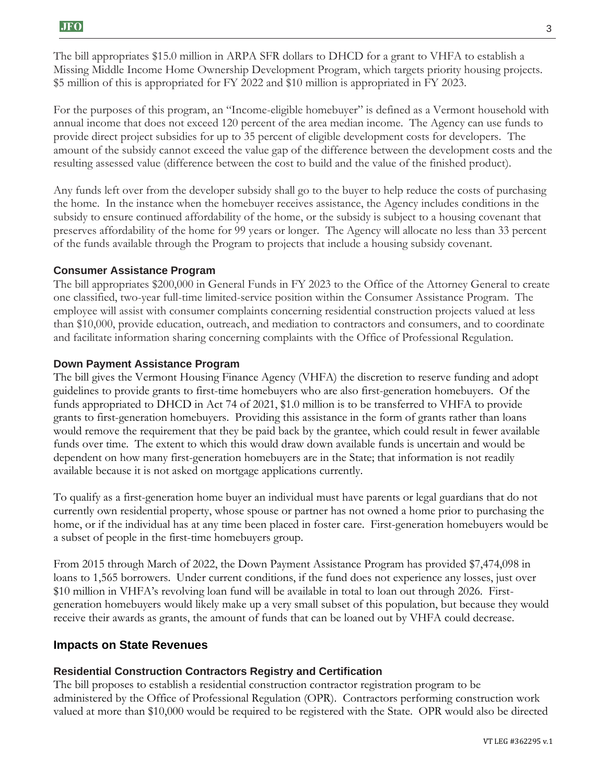The bill appropriates \$15.0 million in ARPA SFR dollars to DHCD for a grant to VHFA to establish a Missing Middle Income Home Ownership Development Program, which targets priority housing projects. \$5 million of this is appropriated for FY 2022 and \$10 million is appropriated in FY 2023.

For the purposes of this program, an "Income-eligible homebuyer" is defined as a Vermont household with annual income that does not exceed 120 percent of the area median income. The Agency can use funds to provide direct project subsidies for up to 35 percent of eligible development costs for developers. The amount of the subsidy cannot exceed the value gap of the difference between the development costs and the resulting assessed value (difference between the cost to build and the value of the finished product).

Any funds left over from the developer subsidy shall go to the buyer to help reduce the costs of purchasing the home. In the instance when the homebuyer receives assistance, the Agency includes conditions in the subsidy to ensure continued affordability of the home, or the subsidy is subject to a housing covenant that preserves affordability of the home for 99 years or longer. The Agency will allocate no less than 33 percent of the funds available through the Program to projects that include a housing subsidy covenant.

#### **Consumer Assistance Program**

The bill appropriates \$200,000 in General Funds in FY 2023 to the Office of the Attorney General to create one classified, two-year full-time limited-service position within the Consumer Assistance Program. The employee will assist with consumer complaints concerning residential construction projects valued at less than \$10,000, provide education, outreach, and mediation to contractors and consumers, and to coordinate and facilitate information sharing concerning complaints with the Office of Professional Regulation.

#### **Down Payment Assistance Program**

The bill gives the Vermont Housing Finance Agency (VHFA) the discretion to reserve funding and adopt guidelines to provide grants to first-time homebuyers who are also first-generation homebuyers. Of the funds appropriated to DHCD in Act 74 of 2021, \$1.0 million is to be transferred to VHFA to provide grants to first-generation homebuyers. Providing this assistance in the form of grants rather than loans would remove the requirement that they be paid back by the grantee, which could result in fewer available funds over time. The extent to which this would draw down available funds is uncertain and would be dependent on how many first-generation homebuyers are in the State; that information is not readily available because it is not asked on mortgage applications currently.

To qualify as a first-generation home buyer an individual must have parents or legal guardians that do not currently own residential property, whose spouse or partner has not owned a home prior to purchasing the home, or if the individual has at any time been placed in foster care. First-generation homebuyers would be a subset of people in the first-time homebuyers group.

From 2015 through March of 2022, the Down Payment Assistance Program has provided \$7,474,098 in loans to 1,565 borrowers. Under current conditions, if the fund does not experience any losses, just over \$10 million in VHFA's revolving loan fund will be available in total to loan out through 2026. Firstgeneration homebuyers would likely make up a very small subset of this population, but because they would receive their awards as grants, the amount of funds that can be loaned out by VHFA could decrease.

#### **Impacts on State Revenues**

#### **Residential Construction Contractors Registry and Certification**

The bill proposes to establish a residential construction contractor registration program to be administered by the Office of Professional Regulation (OPR). Contractors performing construction work valued at more than \$10,000 would be required to be registered with the State. OPR would also be directed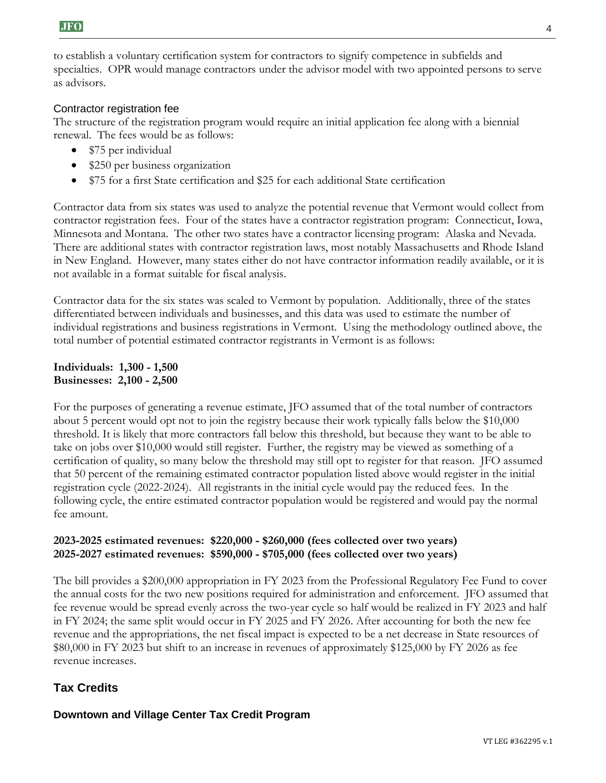to establish a voluntary certification system for contractors to signify competence in subfields and specialties. OPR would manage contractors under the advisor model with two appointed persons to serve as advisors.

### Contractor registration fee

The structure of the registration program would require an initial application fee along with a biennial renewal. The fees would be as follows:

- \$75 per individual
- \$250 per business organization
- \$75 for a first State certification and \$25 for each additional State certification

Contractor data from six states was used to analyze the potential revenue that Vermont would collect from contractor registration fees. Four of the states have a contractor registration program: Connecticut, Iowa, Minnesota and Montana. The other two states have a contractor licensing program: Alaska and Nevada. There are additional states with contractor registration laws, most notably Massachusetts and Rhode Island in New England. However, many states either do not have contractor information readily available, or it is not available in a format suitable for fiscal analysis.

Contractor data for the six states was scaled to Vermont by population. Additionally, three of the states differentiated between individuals and businesses, and this data was used to estimate the number of individual registrations and business registrations in Vermont. Using the methodology outlined above, the total number of potential estimated contractor registrants in Vermont is as follows:

#### **Individuals: 1,300 - 1,500 Businesses: 2,100 - 2,500**

For the purposes of generating a revenue estimate, JFO assumed that of the total number of contractors about 5 percent would opt not to join the registry because their work typically falls below the \$10,000 threshold. It is likely that more contractors fall below this threshold, but because they want to be able to take on jobs over \$10,000 would still register. Further, the registry may be viewed as something of a certification of quality, so many below the threshold may still opt to register for that reason. JFO assumed that 50 percent of the remaining estimated contractor population listed above would register in the initial registration cycle (2022-2024). All registrants in the initial cycle would pay the reduced fees. In the following cycle, the entire estimated contractor population would be registered and would pay the normal fee amount.

### **2023-2025 estimated revenues: \$220,000 - \$260,000 (fees collected over two years) 2025-2027 estimated revenues: \$590,000 - \$705,000 (fees collected over two years)**

The bill provides a \$200,000 appropriation in FY 2023 from the Professional Regulatory Fee Fund to cover the annual costs for the two new positions required for administration and enforcement. JFO assumed that fee revenue would be spread evenly across the two-year cycle so half would be realized in FY 2023 and half in FY 2024; the same split would occur in FY 2025 and FY 2026. After accounting for both the new fee revenue and the appropriations, the net fiscal impact is expected to be a net decrease in State resources of \$80,000 in FY 2023 but shift to an increase in revenues of approximately \$125,000 by FY 2026 as fee revenue increases.

# **Tax Credits**

**Downtown and Village Center Tax Credit Program**